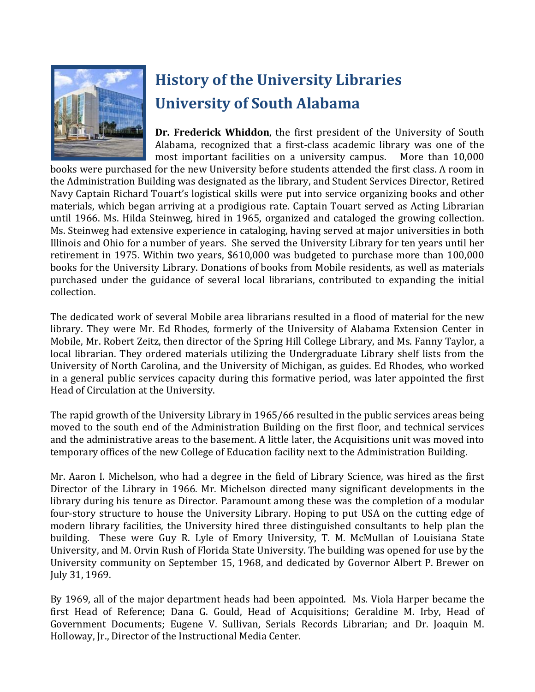

# **History of the University Libraries University of South Alabama**

**Dr. Frederick Whiddon**, the first president of the University of South Alabama, recognized that a first-class academic library was one of the most important facilities on a university campus. More than 10.000 most important facilities on a university campus.

books were purchased for the new University before students attended the first class. A room in the Administration Building was designated as the library, and Student Services Director, Retired Navy Captain Richard Touart's logistical skills were put into service organizing books and other materials, which began arriving at a prodigious rate. Captain Touart served as Acting Librarian until 1966. Ms. Hilda Steinweg, hired in 1965, organized and cataloged the growing collection. Ms. Steinweg had extensive experience in cataloging, having served at major universities in both Illinois and Ohio for a number of years. She served the University Library for ten years until her retirement in 1975. Within two years, \$610,000 was budgeted to purchase more than 100,000 books for the University Library. Donations of books from Mobile residents, as well as materials purchased under the guidance of several local librarians, contributed to expanding the initial collection.

The dedicated work of several Mobile area librarians resulted in a flood of material for the new library. They were Mr. Ed Rhodes, formerly of the University of Alabama Extension Center in Mobile, Mr. Robert Zeitz, then director of the Spring Hill College Library, and Ms. Fanny Taylor, a local librarian. They ordered materials utilizing the Undergraduate Library shelf lists from the University of North Carolina, and the University of Michigan, as guides. Ed Rhodes, who worked in a general public services capacity during this formative period, was later appointed the first Head of Circulation at the University.

The rapid growth of the University Library in 1965/66 resulted in the public services areas being moved to the south end of the Administration Building on the first floor, and technical services and the administrative areas to the basement. A little later, the Acquisitions unit was moved into temporary offices of the new College of Education facility next to the Administration Building.

Mr. Aaron I. Michelson, who had a degree in the field of Library Science, was hired as the first Director of the Library in 1966. Mr. Michelson directed many significant developments in the library during his tenure as Director. Paramount among these was the completion of a modular four-story structure to house the University Library. Hoping to put USA on the cutting edge of modern library facilities, the University hired three distinguished consultants to help plan the building. These were Guy R. Lyle of Emory University, T. M. McMullan of Louisiana State University, and M. Orvin Rush of Florida State University. The building was opened for use by the University community on September 15, 1968, and dedicated by Governor Albert P. Brewer on July 31, 1969.

By 1969, all of the major department heads had been appointed. Ms. Viola Harper became the first Head of Reference; Dana G. Gould, Head of Acquisitions; Geraldine M. Irby, Head of Government Documents; Eugene V. Sullivan, Serials Records Librarian; and Dr. Joaquin M. Holloway, Jr., Director of the Instructional Media Center.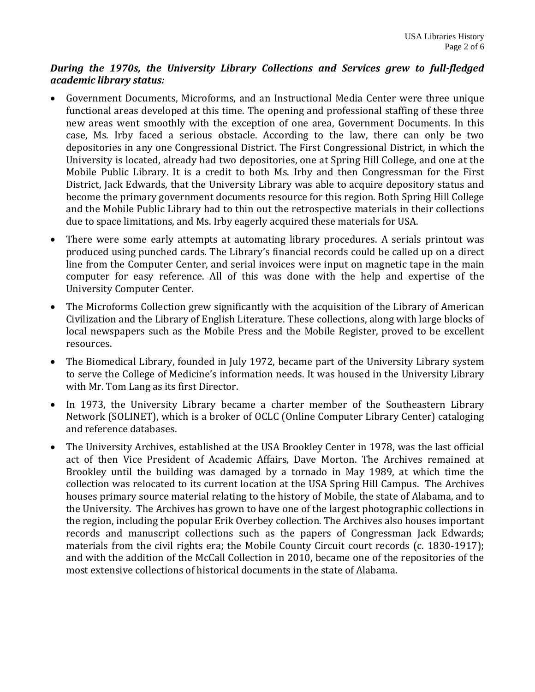#### *During the 1970s, the University Library Collections and Services grew to full-fledged academic library status:*

- Government Documents, Microforms, and an Instructional Media Center were three unique functional areas developed at this time. The opening and professional staffing of these three new areas went smoothly with the exception of one area, Government Documents. In this case, Ms. Irby faced a serious obstacle. According to the law, there can only be two depositories in any one Congressional District. The First Congressional District, in which the University is located, already had two depositories, one at Spring Hill College, and one at the Mobile Public Library. It is a credit to both Ms. Irby and then Congressman for the First District, Jack Edwards, that the University Library was able to acquire depository status and become the primary government documents resource for this region. Both Spring Hill College and the Mobile Public Library had to thin out the retrospective materials in their collections due to space limitations, and Ms. Irby eagerly acquired these materials for USA.
- There were some early attempts at automating library procedures. A serials printout was produced using punched cards. The Library's financial records could be called up on a direct line from the Computer Center, and serial invoices were input on magnetic tape in the main computer for easy reference. All of this was done with the help and expertise of the University Computer Center.
- The Microforms Collection grew significantly with the acquisition of the Library of American Civilization and the Library of English Literature. These collections, along with large blocks of local newspapers such as the Mobile Press and the Mobile Register, proved to be excellent resources.
- The Biomedical Library, founded in July 1972, became part of the University Library system to serve the College of Medicine's information needs. It was housed in the University Library with Mr. Tom Lang as its first Director.
- In 1973, the University Library became a charter member of the Southeastern Library Network (SOLINET), which is a broker of OCLC (Online Computer Library Center) cataloging and reference databases.
- The University Archives, established at the USA Brookley Center in 1978, was the last official act of then Vice President of Academic Affairs, Dave Morton. The Archives remained at Brookley until the building was damaged by a tornado in May 1989, at which time the collection was relocated to its current location at the USA Spring Hill Campus. The Archives houses primary source material relating to the history of Mobile, the state of Alabama, and to the University. The Archives has grown to have one of the largest photographic collections in the region, including the popular Erik Overbey collection. The Archives also houses important records and manuscript collections such as the papers of Congressman Jack Edwards; materials from the civil rights era; the Mobile County Circuit court records (c. 1830-1917); and with the addition of the McCall Collection in 2010, became one of the repositories of the most extensive collections of historical documents in the state of Alabama.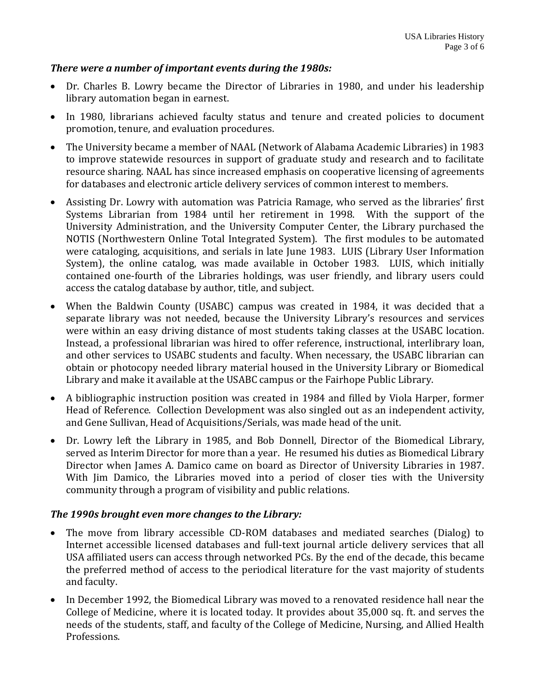#### *There were a number of important events during the 1980s:*

- Dr. Charles B. Lowry became the Director of Libraries in 1980, and under his leadership library automation began in earnest.
- In 1980, librarians achieved faculty status and tenure and created policies to document promotion, tenure, and evaluation procedures.
- The University became a member of NAAL (Network of Alabama Academic Libraries) in 1983 to improve statewide resources in support of graduate study and research and to facilitate resource sharing. NAAL has since increased emphasis on cooperative licensing of agreements for databases and electronic article delivery services of common interest to members.
- Assisting Dr. Lowry with automation was Patricia Ramage, who served as the libraries' first Systems Librarian from 1984 until her retirement in 1998. With the support of the University Administration, and the University Computer Center, the Library purchased the NOTIS (Northwestern Online Total Integrated System). The first modules to be automated were cataloging, acquisitions, and serials in late June 1983. LUIS (Library User Information System), the online catalog, was made available in October 1983. LUIS, which initially contained one-fourth of the Libraries holdings, was user friendly, and library users could access the catalog database by author, title, and subject.
- When the Baldwin County (USABC) campus was created in 1984, it was decided that a separate library was not needed, because the University Library's resources and services were within an easy driving distance of most students taking classes at the USABC location. Instead, a professional librarian was hired to offer reference, instructional, interlibrary loan, and other services to USABC students and faculty. When necessary, the USABC librarian can obtain or photocopy needed library material housed in the University Library or Biomedical Library and make it available at the USABC campus or the Fairhope Public Library.
- A bibliographic instruction position was created in 1984 and filled by Viola Harper, former Head of Reference. Collection Development was also singled out as an independent activity, and Gene Sullivan, Head of Acquisitions/Serials, was made head of the unit.
- Dr. Lowry left the Library in 1985, and Bob Donnell, Director of the Biomedical Library, served as Interim Director for more than a year. He resumed his duties as Biomedical Library Director when James A. Damico came on board as Director of University Libraries in 1987. With Jim Damico, the Libraries moved into a period of closer ties with the University community through a program of visibility and public relations.

#### *The 1990s brought even more changes to the Library:*

- The move from library accessible CD-ROM databases and mediated searches (Dialog) to Internet accessible licensed databases and full-text journal article delivery services that all USA affiliated users can access through networked PCs. By the end of the decade, this became the preferred method of access to the periodical literature for the vast majority of students and faculty.
- In December 1992, the Biomedical Library was moved to a renovated residence hall near the College of Medicine, where it is located today. It provides about 35,000 sq. ft. and serves the needs of the students, staff, and faculty of the College of Medicine, Nursing, and Allied Health Professions.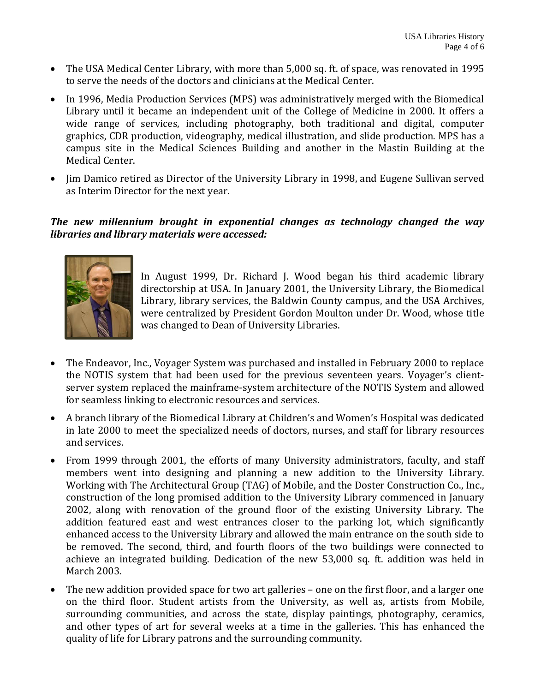- The USA Medical Center Library, with more than 5,000 sq. ft. of space, was renovated in 1995 to serve the needs of the doctors and clinicians at the Medical Center.
- In 1996, Media Production Services (MPS) was administratively merged with the Biomedical Library until it became an independent unit of the College of Medicine in 2000. It offers a wide range of services, including photography, both traditional and digital, computer graphics, CDR production, videography, medical illustration, and slide production. MPS has a campus site in the Medical Sciences Building and another in the Mastin Building at the Medical Center.
- Jim Damico retired as Director of the University Library in 1998, and Eugene Sullivan served as Interim Director for the next year.

### *The new millennium brought in exponential changes as technology changed the way libraries and library materials were accessed:*



In August 1999, Dr. Richard J. Wood began his third academic library directorship at USA. In January 2001, the University Library, the Biomedical Library, library services, the Baldwin County campus, and the USA Archives, were centralized by President Gordon Moulton under Dr. Wood, whose title was changed to Dean of University Libraries.

- The Endeavor, Inc., Voyager System was purchased and installed in February 2000 to replace the NOTIS system that had been used for the previous seventeen years. Voyager's clientserver system replaced the mainframe-system architecture of the NOTIS System and allowed for seamless linking to electronic resources and services.
- A branch library of the Biomedical Library at Children's and Women's Hospital was dedicated in late 2000 to meet the specialized needs of doctors, nurses, and staff for library resources and services.
- From 1999 through 2001, the efforts of many University administrators, faculty, and staff members went into designing and planning a new addition to the University Library. Working with The Architectural Group (TAG) of Mobile, and the Doster Construction Co., Inc., construction of the long promised addition to the University Library commenced in January 2002, along with renovation of the ground floor of the existing University Library. The addition featured east and west entrances closer to the parking lot, which significantly enhanced access to the University Library and allowed the main entrance on the south side to be removed. The second, third, and fourth floors of the two buildings were connected to achieve an integrated building. Dedication of the new 53,000 sq. ft. addition was held in March 2003.
- The new addition provided space for two art galleries one on the first floor, and a larger one on the third floor. Student artists from the University, as well as, artists from Mobile, surrounding communities, and across the state, display paintings, photography, ceramics, and other types of art for several weeks at a time in the galleries. This has enhanced the quality of life for Library patrons and the surrounding community.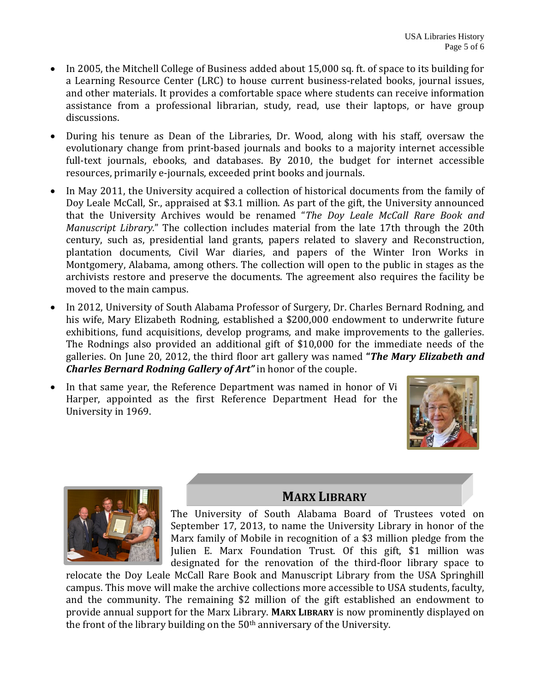- In 2005, the Mitchell College of Business added about 15,000 sq. ft. of space to its building for a Learning Resource Center (LRC) to house current business-related books, journal issues, and other materials. It provides a comfortable space where students can receive information assistance from a professional librarian, study, read, use their laptops, or have group discussions.
- During his tenure as Dean of the Libraries, Dr. Wood, along with his staff, oversaw the evolutionary change from print-based journals and books to a majority internet accessible full-text journals, ebooks, and databases. By 2010, the budget for internet accessible resources, primarily e-journals, exceeded print books and journals.
- In May 2011, the University acquired a collection of historical documents from the family of Doy Leale McCall, Sr., appraised at \$3.1 million. As part of the gift, the University announced that the University Archives would be renamed "*The Doy Leale McCall Rare Book and Manuscript Library.*" The collection includes material from the late 17th through the 20th century, such as, presidential land grants, papers related to slavery and Reconstruction, plantation documents, Civil War diaries, and papers of the Winter Iron Works in Montgomery, Alabama, among others. The collection will open to the public in stages as the archivists restore and preserve the documents. The agreement also requires the facility be moved to the main campus.
- In 2012, University of South Alabama Professor of Surgery, Dr. Charles Bernard Rodning, and his wife, Mary Elizabeth Rodning, established a \$200,000 endowment to underwrite future exhibitions, fund acquisitions, develop programs, and make improvements to the galleries. The Rodnings also provided an additional gift of \$10,000 for the immediate needs of the galleries. On June 20, 2012, the third floor art gallery was named **"***The Mary Elizabeth and Charles Bernard Rodning Gallery of Art"* in honor of the couple.
- In that same year, the Reference Department was named in honor of Vi Harper, appointed as the first Reference Department Head for the University in 1969.





## **MARX LIBRARY**

The University of South Alabama Board of Trustees voted on September 17, 2013, to name the University Library in honor of the Marx family of Mobile in recognition of a \$3 million pledge from the Julien E. Marx Foundation Trust. Of this gift, \$1 million was designated for the renovation of the third-floor library space to

relocate the Doy Leale McCall Rare Book and Manuscript Library from the USA Springhill campus. This move will make the archive collections more accessible to USA students, faculty, and the community. The remaining \$2 million of the gift established an endowment to provide annual support for the Marx Library. **MARX LIBRARY** is now prominently displayed on the front of the library building on the 50<sup>th</sup> anniversary of the University.